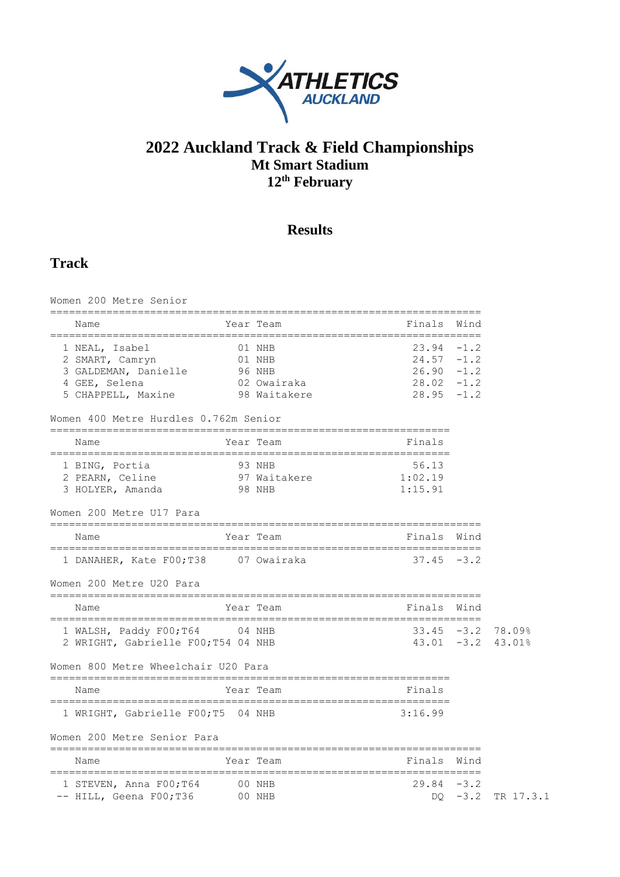

## **2022 Auckland Track & Field Championships Mt Smart Stadium 12th February**

## **Results**

## **Track**

| Women 200 Metre Senior                                                                           |        |                                                           |                                                                                   |        |                  |
|--------------------------------------------------------------------------------------------------|--------|-----------------------------------------------------------|-----------------------------------------------------------------------------------|--------|------------------|
| Name                                                                                             |        | Year Team                                                 | Finals                                                                            | Wind   |                  |
| 1 NEAL, Isabel<br>2 SMART, Camryn<br>3 GALDEMAN, Danielle<br>4 GEE, Selena<br>5 CHAPPELL, Maxine |        | 01 NHB<br>01 NHB<br>96 NHB<br>02 Owairaka<br>98 Waitakere | $23.94 - 1.2$<br>$24.57 - 1.2$<br>$26.90 - 1.2$<br>$28.02 - 1.2$<br>$28.95 - 1.2$ |        |                  |
| Women 400 Metre Hurdles 0.762m Senior                                                            |        |                                                           |                                                                                   |        |                  |
| Name                                                                                             |        | Year Team                                                 | Finals                                                                            |        |                  |
| 1 BING, Portia<br>2 PEARN, Celine<br>3 HOLYER, Amanda                                            |        | 93 NHB<br>97 Waitakere<br>98 NHB                          | 56.13<br>1:02.19<br>1:15.91                                                       |        |                  |
| Women 200 Metre U17 Para                                                                         |        |                                                           |                                                                                   |        |                  |
| Name                                                                                             |        | Year Team                                                 | Finals Wind                                                                       |        |                  |
| 1 DANAHER, Kate F00;T38                                                                          |        | 07 Owairaka                                               | $37.45 - 3.2$                                                                     |        |                  |
| Women 200 Metre U20 Para                                                                         |        |                                                           |                                                                                   |        |                  |
| Name                                                                                             |        | Year Team                                                 | Finals                                                                            | Wind   |                  |
| 1 WALSH, Paddy F00; T64 04 NHB<br>2 WRIGHT, Gabrielle F00;T54 04 NHB                             |        |                                                           | $33.45 - 3.2$<br>$43.01 - 3.2$                                                    |        | 78.09%<br>43.01% |
| Women 800 Metre Wheelchair U20 Para                                                              |        |                                                           |                                                                                   |        |                  |
| Name                                                                                             |        | Year Team                                                 | Finals                                                                            |        |                  |
| 1 WRIGHT, Gabrielle F00;T5 04 NHB                                                                |        |                                                           | 3:16.99                                                                           |        |                  |
| Women 200 Metre Senior Para                                                                      |        |                                                           |                                                                                   |        |                  |
| Name                                                                                             |        | Year Team                                                 | Finals                                                                            | Wind   |                  |
| 1 STEVEN, Anna F00;T64<br>-- HILL, Geena F00; T36 00 NHB                                         | 00 NHB |                                                           | $29.84 - 3.2$<br>DO.                                                              | $-3.2$ | TR 17.3.1        |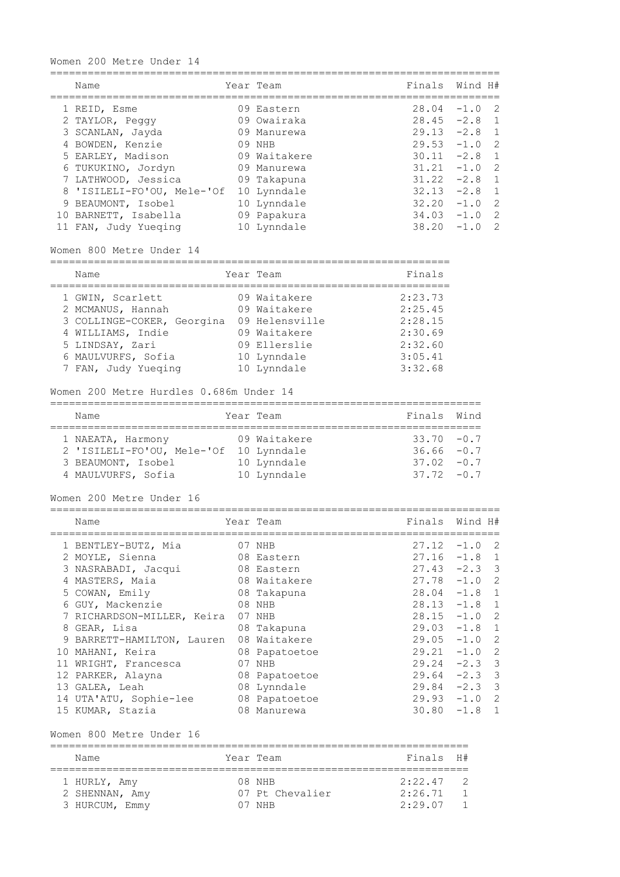### Women 200 Metre Under 14

| Name                       | Year Team    | Finals Wind H# |        |                |
|----------------------------|--------------|----------------|--------|----------------|
| 1 REID, Esme               | 09 Eastern   | 28.04          | $-1.0$ | -2             |
| 2 TAYLOR, Peggy            | 09 Owairaka  | $28.45 - 2.8$  |        | $\overline{1}$ |
| 3 SCANLAN, Jayda           | 09 Manurewa  | $29.13 -2.8$   |        | $\overline{1}$ |
| 4 BOWDEN, Kenzie           | 09 NHB       | $29.53 - 1.0$  |        | $\overline{2}$ |
| 5 EARLEY, Madison          | 09 Waitakere | $30.11 - 2.8$  |        | $\overline{1}$ |
| 6 TUKUKINO, Jordyn         | 09 Manurewa  | $31.21 - 1.0$  |        | -2             |
| 7 LATHWOOD, Jessica        | 09 Takapuna  | $31.22 - 2.8$  |        | $\overline{1}$ |
| 8 'ISILELI-FO'OU, Mele-'Of | 10 Lynndale  | 32.13          | $-2.8$ | $\overline{1}$ |
| 9 BEAUMONT, Isobel         | 10 Lynndale  | 32.20          | $-1.0$ | -2             |
| 10 BARNETT, Isabella       | 09 Papakura  | $34.03 - 1.0$  |        | -2             |
| 11 FAN, Judy Yueging       | 10 Lynndale  | 38.20          | $-1.0$ | $\mathcal{P}$  |

Women 800 Metre Under 14

| Year Team<br>Name                                                                                                                                                                                                                                                        | Finals                                                                    |
|--------------------------------------------------------------------------------------------------------------------------------------------------------------------------------------------------------------------------------------------------------------------------|---------------------------------------------------------------------------|
| 09 Waitakere<br>1 GWIN, Scarlett<br>2 MCMANUS, Hannah<br>09 Waitakere<br>3 COLLINGE-COKER, Georgina<br>09 Helensville<br>4 WILLIAMS, Indie<br>09 Waitakere<br>5 LINDSAY, Zari<br>09 Ellerslie<br>6 MAULVURFS, Sofia<br>10 Lynndale<br>7 FAN, Judy Yueqing<br>10 Lynndale | 2:23.73<br>2:25.45<br>2:28.15<br>2:30.69<br>2:32.60<br>3:05.41<br>3:32.68 |

#### Women 200 Metre Hurdles 0.686m Under 14

| Name                       |  | Year Team    | Finals Wind   |  |  |  |  |  |  |
|----------------------------|--|--------------|---------------|--|--|--|--|--|--|
| 1 NAEATA, Harmony          |  | 09 Waitakere | $33.70 - 0.7$ |  |  |  |  |  |  |
| 2 'ISILELI-FO'OU, Mele-'Of |  | 10 Lynndale  | $36.66 - 0.7$ |  |  |  |  |  |  |
| 3 BEAUMONT, Isobel         |  | 10 Lynndale  | $37.02 - 0.7$ |  |  |  |  |  |  |
| 4 MAULVURFS, Sofia         |  | 10 Lynndale  | $37.72 - 0.7$ |  |  |  |  |  |  |

Women 200 Metre Under 16 ========================================================================

|   | Name                       | Year Team     | Finals Wind H#  |        |                         |
|---|----------------------------|---------------|-----------------|--------|-------------------------|
|   | 1 BENTLEY-BUTZ, Mia        | 07 NHB        | 27.12           | $-1.0$ | -2                      |
|   | 2 MOYLE, Sienna            | 08 Eastern    | $27.16 - 1.8$   |        | 1                       |
|   | 3 NASRABADI, Jacqui        | 08 Eastern    | $27.43 - 2.3$ 3 |        |                         |
|   | 4 MASTERS, Maia            | 08 Waitakere  | $27.78 - 1.0$   |        | -2                      |
|   | 5 COWAN, Emily             | 08 Takapuna   | $28.04 -1.8$ 1  |        |                         |
|   | 6 GUY, Mackenzie           | 08 NHB        | $28.13 -1.8 1$  |        |                         |
|   | 7 RICHARDSON-MILLER, Keira | 07 NHB        | $28.15 - 1.0$   |        | -2                      |
| 8 | GEAR, Lisa                 | 08 Takapuna   | $29.03 - 1.8$ 1 |        |                         |
|   | 9 BARRETT-HAMILTON, Lauren | 08 Waitakere  | $29.05 -1.0$ 2  |        |                         |
|   | 10 MAHANI, Keira           | 08 Papatoetoe | $29.21 - 1.0$   |        | $\overline{2}$          |
|   | 11 WRIGHT, Francesca       | 07 NHB        | $29.24 -2.3$ 3  |        |                         |
|   | 12 PARKER, Alayna          | 08 Papatoetoe | $29.64 - 2.3$   |        | $\overline{\mathbf{3}}$ |
|   | 13 GALEA, Leah             | 08 Lynndale   | $29.84 - 2.3$   |        | $\overline{\mathbf{3}}$ |
|   | 14 UTA'ATU, Sophie-lee     | 08 Papatoetoe | $29.93 - 1.0$   |        | $\overline{2}$          |
|   | 15 KUMAR, Stazia           | 08 Manurewa   | 30.80           | $-1.8$ | $\mathbf{1}$            |

Women 800 Metre Under 16

| Name                                             | Year Team                        | $Findna1s$ $H#$               |  |
|--------------------------------------------------|----------------------------------|-------------------------------|--|
| 1 HURLY, Amy<br>2 SHENNAN, Amy<br>3 HURCUM, Emmy | 08 NHB<br>07 Pt Chevalier<br>NHR | 2:22.47<br>2:26.71<br>2:29.07 |  |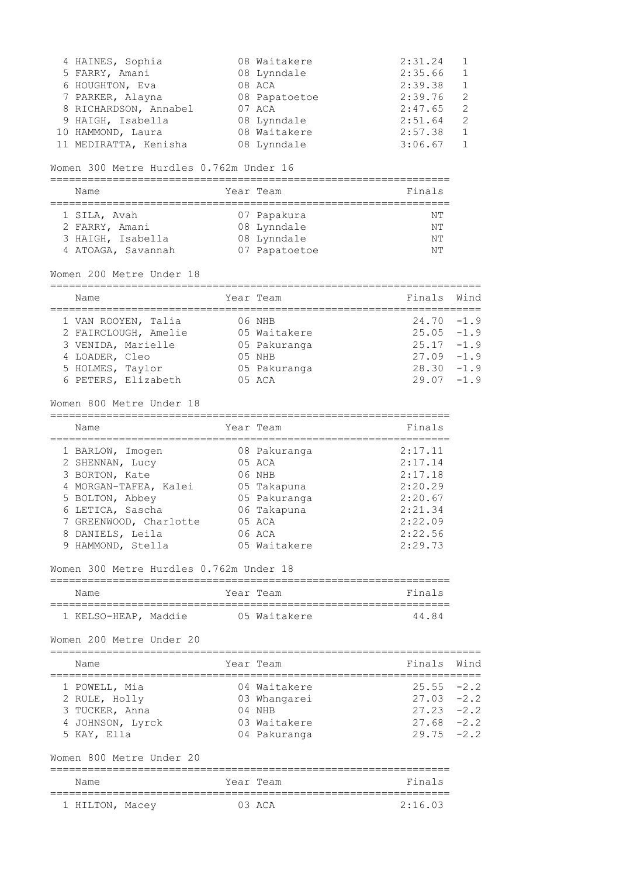| 4 HAINES, Sophia      | 08 Waitakere  | 2:31.24 |               |
|-----------------------|---------------|---------|---------------|
| 5 FARRY, Amani        | 08 Lynndale   | 2:35.66 |               |
| 6 HOUGHTON, Eva       | 08 ACA        | 2:39.38 |               |
| 7 PARKER, Alayna      | 08 Papatoetoe | 2:39.76 | -2            |
| 8 RICHARDSON, Annabel | 07 ACA        | 2:47.65 | 2             |
| 9 HAIGH, Isabella     | 08 Lynndale   | 2:51.64 | $\mathcal{L}$ |
| 10 HAMMOND, Laura     | 08 Waitakere  | 2:57.38 |               |
| 11 MEDIRATTA, Kenisha | 08 Lynndale   | 3:06.67 |               |

#### Women 300 Metre Hurdles 0.762m Under 16

================================================================

| Name                                                                      | Year Team                                                  | Finals               |
|---------------------------------------------------------------------------|------------------------------------------------------------|----------------------|
| 1 SILA, Avah<br>2 FARRY, Amani<br>3 HAIGH, Isabella<br>4 ATOAGA, Savannah | 07 Papakura<br>08 Lynndale<br>08 Lynndale<br>07 Papatoetoe | NΤ<br>NΤ<br>NΤ<br>NΤ |

### Women 200 Metre Under 18

| Name                 | Year Team    | Finals Wind   |  |
|----------------------|--------------|---------------|--|
| 1 VAN ROOYEN, Talia  | 06 NHB       | $24.70 - 1.9$ |  |
| 2 FAIRCLOUGH, Amelie | 05 Waitakere | $25.05 - 1.9$ |  |
| 3 VENIDA, Marielle   | 05 Pakuranga | $25.17 - 1.9$ |  |
| 4 LOADER, Cleo       | $05$ NHB     | $27.09 - 1.9$ |  |
| 5 HOLMES, Taylor     | 05 Pakuranga | $28.30 - 1.9$ |  |
| 6 PETERS, Elizabeth  | $05$ ACA     | $29.07 - 1.9$ |  |

#### Women 800 Metre Under 18

| Name                   | Year Team    | Finals  |
|------------------------|--------------|---------|
| 1 BARLOW, Imogen       | 08 Pakuranga | 2:17.11 |
| 2 SHENNAN, Lucy        | 05 ACA       | 2:17.14 |
| 3 BORTON, Kate         | 06 NHB       | 2:17.18 |
| 4 MORGAN-TAFEA, Kalei  | 05 Takapuna  | 2:20.29 |
| 5 BOLTON, Abbey        | 05 Pakuranga | 2:20.67 |
| 6 LETICA, Sascha       | 06 Takapuna  | 2:21.34 |
| 7 GREENWOOD, Charlotte | 05 ACA       | 2:22.09 |
| 8 DANIELS, Leila       | 06 ACA       | 2:22.56 |

#### Women 300 Metre Hurdles 0.762m Under 18

| Name                 |  |  | Year Team    | Finals |  |  |  |  |
|----------------------|--|--|--------------|--------|--|--|--|--|
|                      |  |  |              |        |  |  |  |  |
| 1 KELSO-HEAP, Maddie |  |  | 05 Waitakere | 44 84  |  |  |  |  |

9 HAMMOND, Stella 05 Waitakere 2:29.73

Women 200 Metre Under 20

===================================================================== Name Tear Team Team Finals Wind

| ------           |              |               |  |
|------------------|--------------|---------------|--|
|                  |              |               |  |
| 1 POWELL, Mia    | 04 Waitakere | $25.55 - 2.2$ |  |
| 2 RULE, Holly    | 03 Whangarei | $27.03 -2.2$  |  |
| 3 TUCKER, Anna   | $04$ NHB     | $27.23 -2.2$  |  |
| 4 JOHNSON, Lyrck | 03 Waitakere | $27.68 - 2.2$ |  |
| 5 KAY, Ella      | 04 Pakuranga | $29.75 - 2.2$ |  |
|                  |              |               |  |

## Women 800 Metre Under 20

| Name            | Year Team   | Finals  |
|-----------------|-------------|---------|
| 1 HILTON, Macey | $0.3$ $ACA$ | 2:16.03 |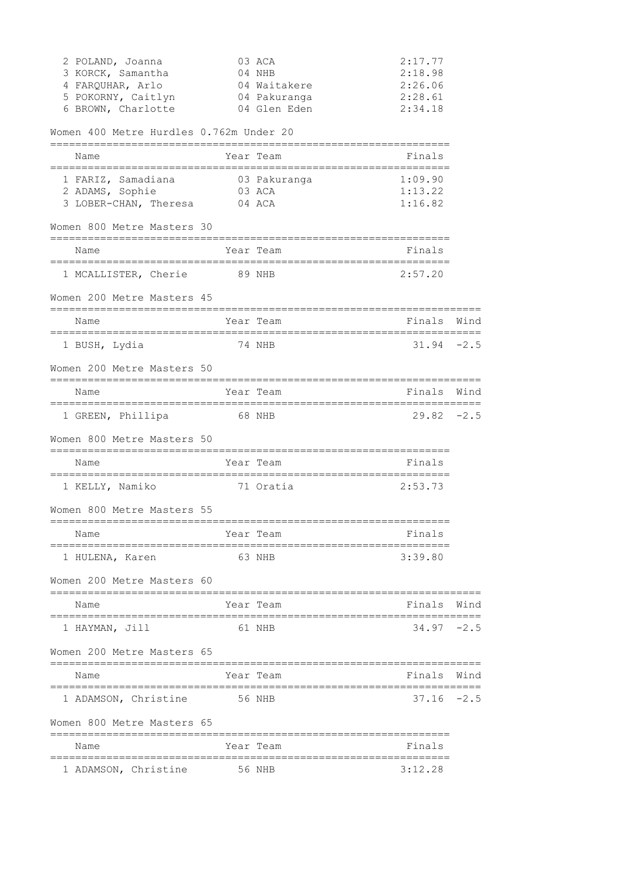| 2 POLAND, Joanna<br>3 KORCK, Samantha<br>4 FARQUHAR, Arlo<br>5 POKORNY, Caitlyn<br>6 BROWN, Charlotte |                       | 03 ACA<br>04 NHB<br>04 Waitakere<br>04 Pakuranga<br>04 Glen Eden | 2:17.77<br>2:18.98<br>2:26.06<br>2:28.61<br>2:34.18 |      |
|-------------------------------------------------------------------------------------------------------|-----------------------|------------------------------------------------------------------|-----------------------------------------------------|------|
| Women 400 Metre Hurdles 0.762m Under 20                                                               |                       |                                                                  |                                                     |      |
| Name<br>;======================                                                                       |                       | Year Team<br>------------------------------                      | Finals                                              |      |
| 1 FARIZ, Samadiana 603 Pakuranga<br>2 ADAMS, Sophie<br>3 LOBER-CHAN, Theresa 04 ACA                   | ===========<br>03 ACA |                                                                  | 1:09.90<br>1:13.22<br>1:16.82                       |      |
| Women 800 Metre Masters 30<br>===============================                                         |                       | =============================                                    |                                                     |      |
| Name                                                                                                  |                       | Year Team                                                        | Finals                                              |      |
| 1 MCALLISTER, Cherie 89 NHB                                                                           |                       |                                                                  | 2:57.20                                             |      |
| Women 200 Metre Masters 45                                                                            |                       |                                                                  |                                                     |      |
| Name<br>=================================                                                             |                       | Year Team<br>;====================                               | Finals                                              | Wind |
| 1 BUSH, Lydia                                                                                         |                       | 74 NHB                                                           | $31.94 - 2.5$                                       |      |
| Women 200 Metre Masters 50                                                                            |                       |                                                                  |                                                     |      |
| Name                                                                                                  | :============         | Year Team                                                        | Finals<br>==========================                | Wind |
| 1 GREEN, Phillipa 68 NHB                                                                              |                       |                                                                  | $29.82 - 2.5$                                       |      |
| Women 800 Metre Masters 50                                                                            |                       | =============================                                    |                                                     |      |
| ==============================<br>Name                                                                |                       | Year Team                                                        | Finals                                              |      |
| 1 KELLY, Namiko                                                                                       |                       | 71 Oratia                                                        | 2:53.73                                             |      |
| Women 800 Metre Masters 55                                                                            |                       |                                                                  |                                                     |      |
| Name                                                                                                  |                       | Year Team                                                        | Finals                                              |      |
| 1 HULENA, Karen                                                                                       |                       | 63 NHB                                                           | 3:39.80                                             |      |
| Women 200 Metre Masters 60                                                                            |                       |                                                                  |                                                     |      |
| Name                                                                                                  |                       | Year Team                                                        | Finals                                              | Wind |
| 1 HAYMAN, Jill                                                                                        |                       | 61 NHB                                                           | $34.97 - 2.5$                                       |      |
| Women 200 Metre Masters 65                                                                            |                       |                                                                  |                                                     |      |
| Name                                                                                                  |                       | Year Team                                                        | Finals                                              | Wind |
| 1 ADAMSON, Christine 56 NHB                                                                           |                       | ================================                                 | $37.16 - 2.5$                                       |      |
| Women 800 Metre Masters 65                                                                            |                       |                                                                  |                                                     |      |
| Name                                                                                                  |                       | Year Team                                                        | Finals                                              |      |
| 1 ADAMSON, Christine                                                                                  |                       | 56 NHB                                                           | ============<br>3:12.28                             |      |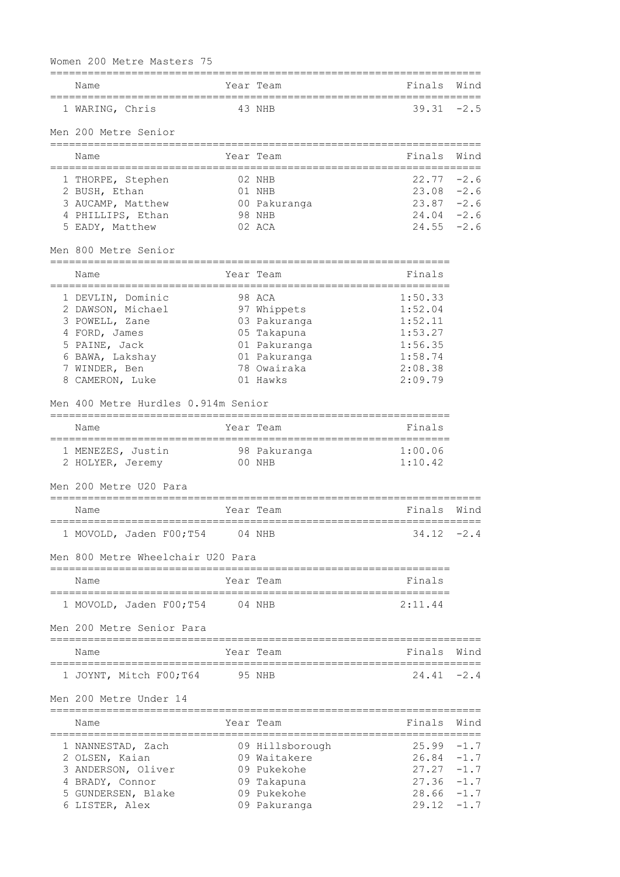| Name                                                                         |            | Year Team       | Finals                    | Wind   |
|------------------------------------------------------------------------------|------------|-----------------|---------------------------|--------|
| 1 WARING, Chris                                                              |            | 43 NHB          | $39.31 - 2.5$             |        |
| Men 200 Metre Senior<br>=============================                        |            | :============== |                           |        |
| Name                                                                         |            | Year Team       | Finals                    | Wind   |
| 1 THORPE, Stephen                                                            |            | 02 NHB          | 22.77                     | $-2.6$ |
| 2 BUSH, Ethan                                                                |            | 01 NHB          | 23.08                     | $-2.6$ |
| 3 AUCAMP, Matthew                                                            |            | 00 Pakuranga    | 23.87                     | $-2.6$ |
| 4 PHILLIPS, Ethan                                                            |            | 98 NHB          | $24.04 - 2.6$             |        |
| 5 EADY, Matthew                                                              |            | 02 ACA          | $24.55 - 2.6$             |        |
| Men 800 Metre Senior<br>=====================                                |            |                 |                           |        |
| Name<br>=======================                                              | ========== | Year Team       | Finals<br>=============== |        |
| 1 DEVLIN, Dominic                                                            |            | 98 ACA          | 1:50.33                   |        |
| 2 DAWSON, Michael                                                            |            | 97 Whippets     | 1:52.04                   |        |
| 3 POWELL, Zane                                                               |            | 03 Pakuranga    | 1:52.11                   |        |
| 4 FORD, James                                                                |            | 05 Takapuna     | 1:53.27                   |        |
| 5 PAINE, Jack                                                                |            | 01 Pakuranga    | 1:56.35                   |        |
| 6 BAWA, Lakshay                                                              |            | 01 Pakuranga    | 1:58.74                   |        |
| 7 WINDER, Ben                                                                |            | 78 Owairaka     | 2:08.38                   |        |
| 8 CAMERON, Luke                                                              |            | 01 Hawks        | 2:09.79                   |        |
| Men 400 Metre Hurdles 0.914m Senior<br>===================================== |            |                 |                           |        |
| Name<br>=======================                                              |            | Year Team       | Finals                    |        |
| 1 MENEZES, Justin                                                            |            | 98 Pakuranga    | 1:00.06                   |        |
| 2 HOLYER, Jeremy                                                             |            | 00 NHB          | 1:10.42                   |        |
| Men 200 Metre U20 Para                                                       |            |                 |                           |        |
| Name                                                                         |            | Year Team       | Finals                    | Wind   |
| 1 MOVOLD, Jaden F00; T54 04 NHB                                              |            |                 | $34.12 - 2.4$             |        |
| Men 800 Metre Wheelchair U20 Para                                            |            |                 |                           |        |
| Name                                                                         |            | Year Team       | Finals                    |        |
| 1 MOVOLD, Jaden F00;T54                                                      | 04 NHB     |                 | 2:11.44                   |        |
| Men 200 Metre Senior Para                                                    |            |                 |                           |        |
| Name                                                                         |            | Year Team       | Finals Wind               |        |
| ===================                                                          |            |                 |                           | ------ |
| 1 JOYNT, Mitch F00;T64                                                       | 95 NHB     |                 | $24.41 - 2.4$             |        |
| Men 200 Metre Under 14                                                       |            |                 |                           |        |
| Name                                                                         |            | Year Team       | Finals                    | Wind   |
| 1 NANNESTAD, Zach                                                            |            | 09 Hillsborough | 25.99                     | $-1.7$ |
| 2 OLSEN, Kaian                                                               |            | 09 Waitakere    | 26.84                     | $-1.7$ |
| 3 ANDERSON, Oliver                                                           |            | 09 Pukekohe     | 27.27                     | $-1.7$ |
| 4 BRADY, Connor                                                              |            | 09 Takapuna     | 27.36                     | $-1.7$ |
| 5 GUNDERSEN, Blake                                                           |            | 09 Pukekohe     | 28.66                     | $-1.7$ |
| 6 LISTER, Alex                                                               |            | 09 Pakuranga    | $29.12 - 1.7$             |        |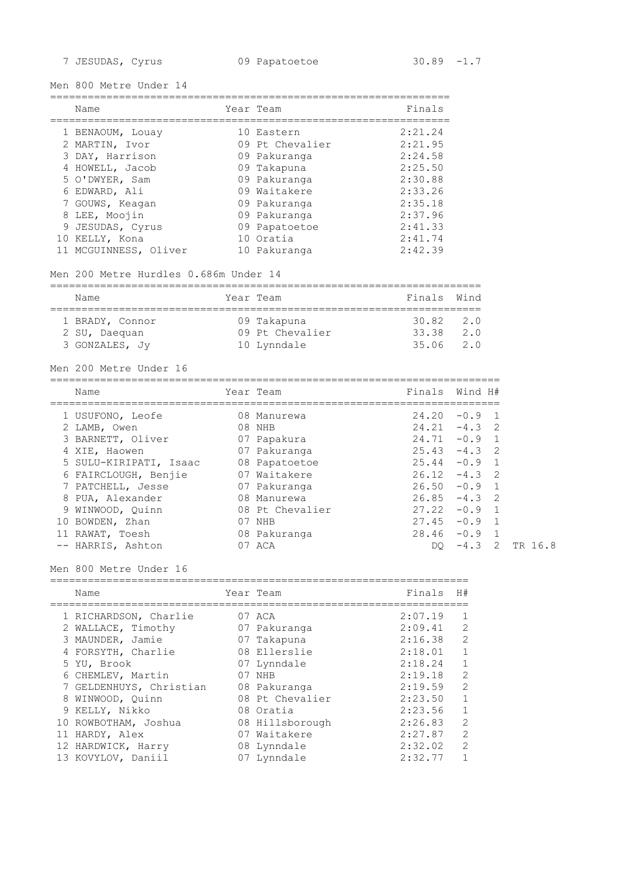Men 800 Metre Under 14

|   | Name                                                                                                                                                                                | Year Team                                                                                                                                                  | Finals                                                                                                     |
|---|-------------------------------------------------------------------------------------------------------------------------------------------------------------------------------------|------------------------------------------------------------------------------------------------------------------------------------------------------------|------------------------------------------------------------------------------------------------------------|
| 9 | 1 BENAOUM, Louay<br>2 MARTIN, Ivor<br>3 DAY, Harrison<br>4 HOWELL, Jacob<br>5 O'DWYER, Sam<br>6 EDWARD, Ali<br>7 GOUWS, Keagan<br>8 LEE, Moojin<br>JESUDAS, Cyrus<br>10 KELLY, Kona | 10 Eastern<br>09 Pt Chevalier<br>09 Pakuranga<br>09 Takapuna<br>09 Pakuranga<br>09 Waitakere<br>09 Pakuranga<br>09 Pakuranga<br>09 Papatoetoe<br>10 Oratia | 2:21.24<br>2:21.95<br>2:24.58<br>2:25.50<br>2:30.88<br>2:33.26<br>2:35.18<br>2:37.96<br>2:41.33<br>2:41.74 |
|   | 11 MCGUINNESS, Oliver                                                                                                                                                               | 10 Pakuranga                                                                                                                                               | 2:42.39                                                                                                    |

### Men 200 Metre Hurdles 0.686m Under 14

| Name            | Year Team       | Finals Wind   |     |
|-----------------|-----------------|---------------|-----|
| 1 BRADY, Connor | 09 Takapuna     | $30.82$ $2.0$ |     |
| 2 SU, Daequan   | 09 Pt Chevalier | 33.38         | 2.0 |
| 3 GONZALES, JV  | 10 Lynndale     | 35.06         | 2.0 |

#### Men 200 Metre Under 16

|    | Name                   |    | Year Team       | Finals Wind H# |          |                |
|----|------------------------|----|-----------------|----------------|----------|----------------|
|    | 1 USUFONO, Leofe       |    | 08 Manurewa     | 24.20          | $-0.9$ 1 |                |
|    | 2 LAMB, Owen           | 08 | NHB             | 24.21          | $-4.3$ 2 |                |
|    | 3 BARNETT, Oliver      |    | 07 Papakura     | 24.71          | $-0.9$   |                |
|    | XIE, Haowen            |    | 07 Pakuranga    | 25.43          | $-4.3$ 2 |                |
|    | 5 SULU-KIRIPATI, Isaac |    | 08 Papatoetoe   | 25.44          | $-0.9$ 1 |                |
|    | 6 FAIRCLOUGH, Benjie   |    | 07 Waitakere    | 26.12          | $-4.3$ 2 |                |
|    | 7 PATCHELL, Jesse      |    | 07 Pakuranga    | 26.50          | $-0.9$ 1 |                |
| 8  | PUA, Alexander         |    | 08 Manurewa     | 26.85          | $-4.3$ 2 |                |
|    | 9 WINWOOD, Quinn       |    | 08 Pt Chevalier | 27.22          | $-0.9$ 1 |                |
| 10 | BOWDEN, Zhan           | 07 | NHB             | 27.45          | $-0.9$   | $\overline{1}$ |
|    | RAWAT, Toesh           |    | 08 Pakuranga    | 28.46          | $-0.9$   |                |
|    | -- HARRIS, Ashton      |    | 07 ACA          | DO.            | $-4.3$   | $\overline{2}$ |

#### Men 800 Metre Under 16

#### ===================================================================

| Name                    | Year Team       | Finals  | H#            |
|-------------------------|-----------------|---------|---------------|
| 1 RICHARDSON, Charlie   | 07 ACA          | 2:07.19 |               |
| 2 WALLACE, Timothy      | 07 Pakuranga    | 2:09.41 | $\mathcal{L}$ |
| 3 MAUNDER, Jamie        | 07 Takapuna     | 2:16.38 | 2             |
| 4 FORSYTH, Charlie      | 08 Ellerslie    | 2:18.01 | 1             |
| 5 YU, Brook             | 07 Lynndale     | 2:18.24 |               |
| 6 CHEMLEV, Martin       | 07 NHB          | 2:19.18 | $\mathcal{L}$ |
| 7 GELDENHUYS, Christian | 08 Pakuranga    | 2:19.59 | $\mathcal{L}$ |
| 8 WINWOOD, Quinn        | 08 Pt Chevalier | 2:23.50 |               |
| 9 KELLY, Nikko          | 08 Oratia       | 2:23.56 | 1             |
| 10 ROWBOTHAM, Joshua    | 08 Hillsborough | 2:26.83 | $\mathcal{L}$ |
| 11 HARDY, Alex          | 07 Waitakere    | 2:27.87 | $\mathcal{L}$ |
| 12 HARDWICK, Harry      | 08 Lynndale     | 2:32.02 | $\mathcal{L}$ |
| 13 KOVYLOV, Daniil      | 07 Lynndale     | 2:32.77 |               |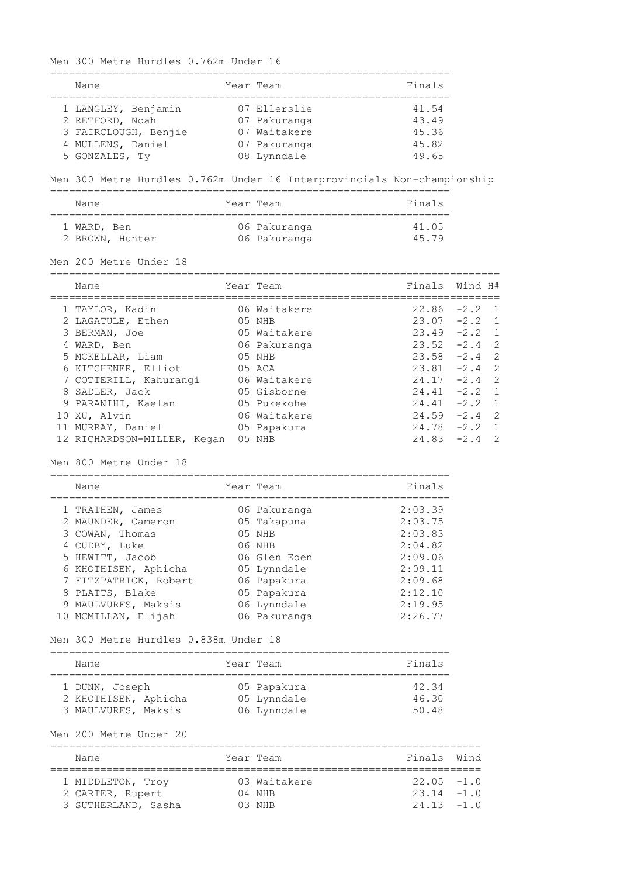================================================================ Name Team Team Team Finals ================================================================ 1 LANGLEY, Benjamin 07 Ellerslie 41.54 2 RETFORD, Noah 07 Pakuranga 43.49 3 FAIRCLOUGH, Benjie 07 Waitakere 45.36 4 MULLENS, Daniel 07 Pakuranga 45.82 5 GONZALES, Ty 08 Lynndale 49.65 Men 300 Metre Hurdles 0.762m Under 16 Interprovincials Non-championship ================================================================ Name **Team** Year Team **Finals** ================================================================ 1 WARD, Ben 1988 06 Pakuranga 1988 41.05 2 BROWN, Hunter 06 Pakuranga 15.79 Men 200 Metre Under 18 ======================================================================== Name **Name** Year Team **Finals** Wind H# ======================================================================== 1 TAYLOR, Kadin 06 Waitakere 22.86 -2.2 1 2 LAGATULE, Ethen 05 NHB 23.07 -2.2 1 3 BERMAN, Joe 05 Waitakere 23.49 -2.2 1 4 WARD, Ben 06 Pakuranga 23.52 -2.4 2 5 MCKELLAR, Liam 05 NHB 23.58 -2.4 2 6 KITCHENER, Elliot 05 ACA 23.81 -2.4 2 7 COTTERILL, Kahurangi 06 Waitakere 24.17 -2.4 2 8 SADLER, Jack 05 Gisborne 24.41 -2.2 1 9 PARANIHI, Kaelan 05 Pukekohe 24.41 -2.2 1 10 XU, Alvin 06 Waitakere 24.59 -2.4 2 11 MURRAY, Daniel 05 Papakura 24.78 -2.2 1 12 RICHARDSON-MILLER, Kegan 05 NHB 24.83 -2.4 2 Men 800 Metre Under 18 ================================================================ Name **Team** Year Team **Finals** ================================================================ 1 TRATHEN, James 06 Pakuranga 2:03.39 2 MAUNDER, Cameron 05 Takapuna 2:03.75 3 COWAN, Thomas 05 NHB 2:03.83 4 CUDBY, Luke 06 NHB 2:04.82 5 HEWITT, Jacob 06 Glen Eden 2:09.06 6 KHOTHISEN, Aphicha 05 Lynndale 2:09.11 7 FITZPATRICK, Robert 06 Papakura 2:09.68 8 PLATTS, Blake  $05$  Papakura  $2:12.10$ 9 MAULVURFS, Maksis 06 Lynndale 2:19.95 10 MCMILLAN, Elijah 06 Pakuranga 2:26.77 Men 300 Metre Hurdles 0.838m Under 18 ================================================================ Name **South State Team** Prince of the Manual State of the Manual State of the Manual State of the Manual State of the Manual State of the Manual State of the Manual State of the Manual State of the Manual State of the Manu ================================================================ 1 DUNN, Joseph 05 Papakura 42.34 2 KHOTHISEN, Aphicha 05 Lynndale 46.30 3 MAULVURFS, Maksis 06 Lynndale 50.48 Men 200 Metre Under 20 ===================================================================== Name **South States And State Team** States and Team Finals Wind ===================================================================== 1 MIDDLETON, Troy 03 Waitakere 22.05 -1.0 2 CARTER, Rupert 04 NHB 23.14 -1.0 3 SUTHERLAND, Sasha 03 NHB 24.13 -1.0

Men 300 Metre Hurdles 0.762m Under 16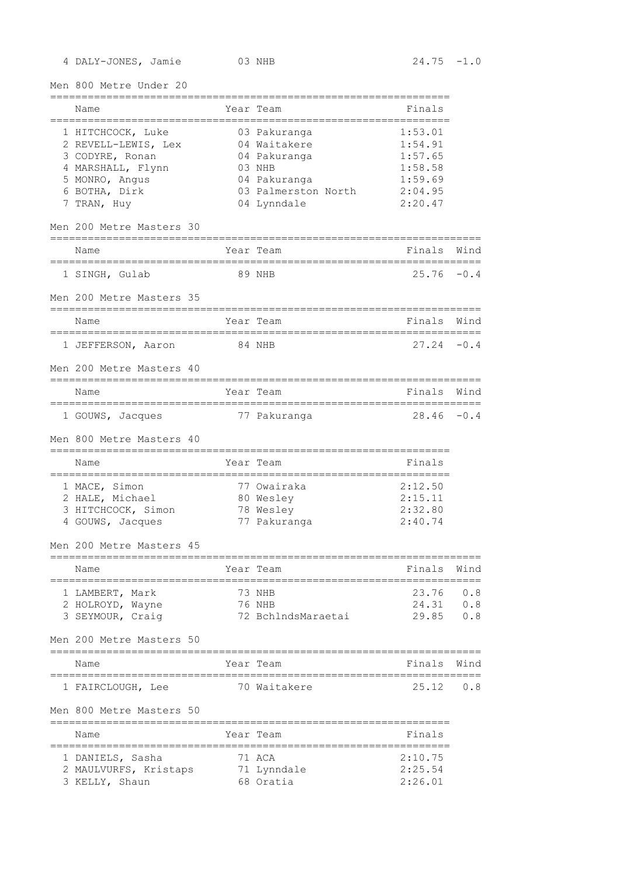4 DALY-JONES, Jamie 03 NHB 24.75 -1.0

Men 800 Metre Under 20

| Name                                                |        | Year Team                  | Finals         |        |
|-----------------------------------------------------|--------|----------------------------|----------------|--------|
| 1 HITCHCOCK, Luke                                   |        | 03 Pakuranga               | 1:53.01        |        |
| 2 REVELL-LEWIS, Lex                                 |        | 04 Waitakere               | 1:54.91        |        |
| 3 CODYRE, Ronan                                     |        | 04 Pakuranga               | 1:57.65        |        |
| 4 MARSHALL, Flynn                                   |        | 03 NHB                     | 1:58.58        |        |
| 5 MONRO, Angus                                      |        | 04 Pakuranga               | 1:59.69        |        |
| 6 BOTHA, Dirk                                       |        | 03 Palmerston North        | 2:04.95        |        |
| 7 TRAN, Huy                                         |        | 04 Lynndale                | 2:20.47        |        |
| Men 200 Metre Masters 30<br>:====================== |        |                            |                |        |
| Name                                                |        | Year Team                  | Finals         | Wind   |
| 1 SINGH, Gulab                                      |        | 89 NHB                     | 25.76          | $-0.4$ |
| Men 200 Metre Masters 35                            |        |                            |                |        |
| Name                                                |        | Year Team                  | Finals         | Wind   |
| 1 JEFFERSON, Aaron                                  | 84 NHB |                            | 27.24          | $-0.4$ |
| Men 200 Metre Masters 40                            |        |                            |                |        |
| Name                                                |        | Year Team                  | Finals         | Wind   |
| 1 GOUWS, Jacques                                    |        | 77 Pakuranga               | $28.46 - 0.4$  |        |
| Men 800 Metre Masters 40                            |        |                            |                |        |
| =======================<br>Name                     |        | -------------<br>Year Team | Finals         |        |
| 1 MACE, Simon                                       |        | 77 Owairaka                | 2:12.50        |        |
| 2 HALE, Michael                                     |        | 80 Wesley                  | 2:15.11        |        |
| 3 HITCHCOCK, Simon                                  |        | 78 Wesley                  | 2:32.80        |        |
| 4 GOUWS, Jacques                                    |        | 77 Pakuranga               | 2:40.74        |        |
| Men 200 Metre Masters 45                            |        |                            |                |        |
| Name                                                |        | Year Team                  | Finals         | Wind   |
| 1 LAMBERT, Mark                                     |        | 73 NHB                     | 23.76          | 0.8    |
| 2 HOLROYD, Wayne                                    |        | 76 NHB                     | 24.31          | 0.8    |
| 3 SEYMOUR, Craig                                    |        | 72 BchlndsMaraetai         | 29.85          | 0.8    |
| Men 200 Metre Masters 50                            |        |                            |                |        |
| Name                                                |        | Year Team                  | Finals         | Wind   |
| 1 FAIRCLOUGH, Lee                                   |        | 70 Waitakere               | 25.12          | 0.8    |
|                                                     |        |                            |                |        |
| Men 800 Metre Masters 50                            |        |                            |                |        |
| Name<br>:=============                              |        | Year Team                  | Finals<br>==== |        |
| 1 DANIELS, Sasha                                    |        | 71 ACA                     | 2:10.75        |        |
| 2 MAULVURFS, Kristaps                               |        | 71 Lynndale                | 2:25.54        |        |
| 3 KELLY, Shaun                                      |        | 68 Oratia                  | 2:26.01        |        |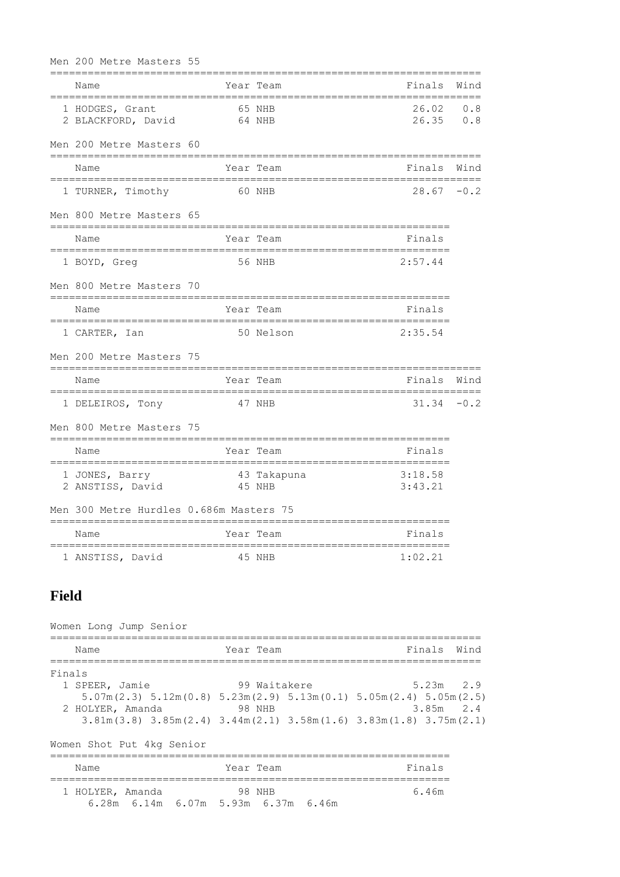| Men 200 Metre Masters 55                      |        |             |                                |            |
|-----------------------------------------------|--------|-------------|--------------------------------|------------|
| Name                                          |        | Year Team   | Finals                         | Wind       |
| 1 HODGES, Grant<br>2 BLACKFORD, David         | 64 NHB | 65 NHB      | 26.02<br>26.35                 | 0.8<br>0.8 |
| Men 200 Metre Masters 60                      |        |             |                                |            |
| Name                                          |        | Year Team   | Finals                         | Wind       |
| 1 TURNER, Timothy                             |        | 60 NHB      | 28.67                          | $-0.2$     |
| Men 800 Metre Masters 65                      |        |             | :===================           |            |
| Name<br>===================================== |        | Year Team   | Finals<br>==================== |            |
| 1 BOYD, Greq                                  |        | 56 NHB      | 2:57.44                        |            |
| Men 800 Metre Masters 70                      |        |             |                                |            |
| Name                                          |        | Year Team   | Finals                         |            |
| 1 CARTER, Ian                                 |        | 50 Nelson   | 2:35.54                        |            |
| Men 200 Metre Masters 75                      |        |             |                                |            |
| Name                                          |        | Year Team   | Finals                         | Wind       |
| 1 DELEIROS, Tony                              | 47 NHB |             | 31.34                          | $-0.2$     |
| Men 800 Metre Masters 75                      |        |             | ---------------------          |            |
| Name                                          |        | Year Team   | Finals                         |            |
| 1 JONES, Barry<br>2 ANSTISS, David            | 45 NHB | 43 Takapuna | 3:18.58<br>3:43.21             |            |
| Men 300 Metre Hurdles 0.686m Masters 75       |        |             |                                |            |
| Name                                          |        | Year Team   | Finals                         |            |
| 1 ANSTISS, David                              |        | 45 NHB      | 1:02.21                        |            |

# **Field**

| Women Long Jump Senior    |                                                                                                                               |             |
|---------------------------|-------------------------------------------------------------------------------------------------------------------------------|-------------|
| Name                      | Year Team                                                                                                                     | Finals Wind |
| Finals                    |                                                                                                                               |             |
| 1 SPEER, Jamie            | 99 Waitakere                                                                                                                  | $5.23m$ 2.9 |
|                           | $5.07$ m(2.3) $5.12$ m(0.8) $5.23$ m(2.9) $5.13$ m(0.1) $5.05$ m(2.4) $5.05$ m(2.5)                                           |             |
| 2 HOLYER, Amanda          | <b>Property</b> 28 NHB                                                                                                        | $3.85m$ 2.4 |
|                           | $3.81\text{m}$ (3.8) $3.85\text{m}$ (2.4) $3.44\text{m}$ (2.1) $3.58\text{m}$ (1.6) $3.83\text{m}$ (1.8) $3.75\text{m}$ (2.1) |             |
| Women Shot Put 4kg Senior |                                                                                                                               |             |
| Name                      | Year Team                                                                                                                     | Finals      |
| 1 HOLYER, Amanda          | 98 NHB<br>6.28m 6.14m 6.07m 5.93m 6.37m 6.46m                                                                                 | 6.46m       |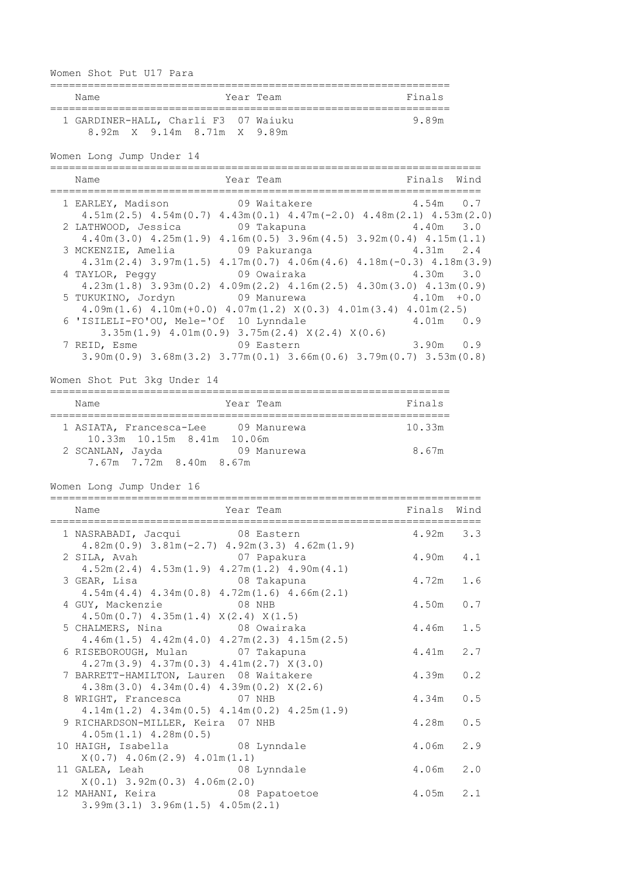| Women Shot Put U17 Para                                                                                                                            |                                |                  |
|----------------------------------------------------------------------------------------------------------------------------------------------------|--------------------------------|------------------|
| Name<br>Year Team                                                                                                                                  | Finals                         |                  |
| 1 GARDINER-HALL, Charli F3 07 Waiuku<br>8.92m X 9.14m 8.71m X 9.89m                                                                                | 9.89m                          |                  |
| Women Long Jump Under 14<br>==============                                                                                                         |                                |                  |
| Name<br>Year Team<br>-=================================                                                                                            | Finals<br>-------------------- | Wind<br>======== |
| 1 EARLEY, Madison<br>09 Waitakere                                                                                                                  | 4.54m                          | 0.7              |
| $4.51m(2.5)$ $4.54m(0.7)$ $4.43m(0.1)$ $4.47m(-2.0)$ $4.48m(2.1)$ $4.53m(2.0)$<br>2 LATHWOOD, Jessica<br>09 Takapuna                               | 4.40m                          | 3.0              |
| $4.40m(3.0)$ $4.25m(1.9)$ $4.16m(0.5)$ $3.96m(4.5)$ $3.92m(0.4)$ $4.15m(1.1)$                                                                      |                                |                  |
| 3 MCKENZIE, Amelia 69 Pakuranga<br>$4.31m(2.4)$ $3.97m(1.5)$ $4.17m(0.7)$ $4.06m(4.6)$ $4.18m(-0.3)$ $4.18m(3.9)$                                  | 4.31m                          | 2.4              |
| 4 TAYLOR, Peggy 09 Owairaka                                                                                                                        | $4.30m$ $3.0$                  |                  |
| $4.23m(1.8)$ $3.93m(0.2)$ $4.09m(2.2)$ $4.16m(2.5)$ $4.30m(3.0)$ $4.13m(0.9)$                                                                      |                                |                  |
| 5 TUKUKINO, Jordyn 69 Manurewa<br>$4.09m(1.6)$ $4.10m(+0.0)$ $4.07m(1.2)$ $X(0.3)$ $4.01m(3.4)$ $4.01m(2.5)$                                       | $4.10m + 0.0$                  |                  |
| 6 'ISILELI-FO'OU, Mele-'Of 10 Lynndale                                                                                                             | 4.01m 0.9                      |                  |
| $3.35m(1.9)$ 4.01m(0.9) 3.75m(2.4) $X(2.4)$ $X(0.6)$                                                                                               |                                |                  |
| 7 REID, Esme 09 Eastern<br>$3.90\text{m}(0.9)$ $3.68\text{m}(3.2)$ $3.77\text{m}(0.1)$ $3.66\text{m}(0.6)$ $3.79\text{m}(0.7)$ $3.53\text{m}(0.8)$ | 3.90m                          | 0.9              |
|                                                                                                                                                    |                                |                  |
| Women Shot Put 3kg Under 14                                                                                                                        |                                |                  |
| Name<br>Year Team                                                                                                                                  | Finals                         |                  |
| 1 ASIATA, Francesca-Lee 09 Manurewa                                                                                                                | 10.33m                         |                  |
| 10.33m 10.15m 8.41m 10.06m                                                                                                                         |                                |                  |
| 2 SCANLAN, Jayda 69 Manurewa<br>7.67m 7.72m 8.40m 8.67m                                                                                            | 8.67m                          |                  |
| Women Long Jump Under 16                                                                                                                           |                                |                  |
| Name<br>Year Team                                                                                                                                  | Finals                         | Wind             |
| 1 NASRABADI, Jacqui 08 Eastern                                                                                                                     | 4.92m                          | 3.3              |
| $4.82m(0.9)$ $3.81m(-2.7)$ $4.92m(3.3)$ $4.62m(1.9)$                                                                                               |                                |                  |
| 07 Papakura<br>2 SILA, Avah                                                                                                                        | 4.90m                          | $4\,\ldotp1$     |
| $4.52m(2.4)$ $4.53m(1.9)$ $4.27m(1.2)$ $4.90m(4.1)$<br>3 GEAR, Lisa<br>08 Takapuna                                                                 | 4.72m                          | 1.6              |
| $4.54m(4.4)$ $4.34m(0.8)$ $4.72m(1.6)$ $4.66m(2.1)$                                                                                                |                                |                  |
| 4 GUY, Mackenzie<br>08 NHB                                                                                                                         | 4.50m                          | $0.7$            |
| $4.50m(0.7)$ $4.35m(1.4)$ $X(2.4)$ $X(1.5)$<br>5 CHALMERS, Nina<br>08 Owairaka                                                                     | 4.46m                          | 1.5              |
| $4.46m(1.5)$ $4.42m(4.0)$ $4.27m(2.3)$ $4.15m(2.5)$                                                                                                |                                |                  |
| 6 RISEBOROUGH, Mulan<br>07 Takapuna                                                                                                                | 4.41m                          | 2.7              |
| $4.27m(3.9)$ $4.37m(0.3)$ $4.41m(2.7)$ $X(3.0)$<br>7 BARRETT-HAMILTON, Lauren 08 Waitakere                                                         | 4.39m                          | 0.2              |
| $4.38m(3.0)$ $4.34m(0.4)$ $4.39m(0.2)$ $X(2.6)$                                                                                                    |                                |                  |
| 8 WRIGHT, Francesca 07 NHB                                                                                                                         | 4.34m                          | $0.5$            |
| $4.14m(1.2)$ $4.34m(0.5)$ $4.14m(0.2)$ $4.25m(1.9)$<br>9 RICHARDSON-MILLER, Keira 07 NHB                                                           | 4.28m                          | 0.5              |
| $4.05m(1.1)$ $4.28m(0.5)$                                                                                                                          |                                |                  |
| 08 Lynndale<br>10 HAIGH, Isabella                                                                                                                  | 4.06m                          | 2.9              |
| $X(0.7)$ 4.06m $(2.9)$ 4.01m $(1.1)$                                                                                                               | 4.06m                          | 2.0              |
| 08 Lynndale<br>11 GALEA, Leah<br>$X(0.1)$ 3.92m $(0.3)$ 4.06m $(2.0)$                                                                              |                                |                  |
| 12 MAHANI, Keira<br>08 Papatoetoe<br>$3.99m(3.1)$ $3.96m(1.5)$ $4.05m(2.1)$                                                                        | 4.05m                          | 2.1              |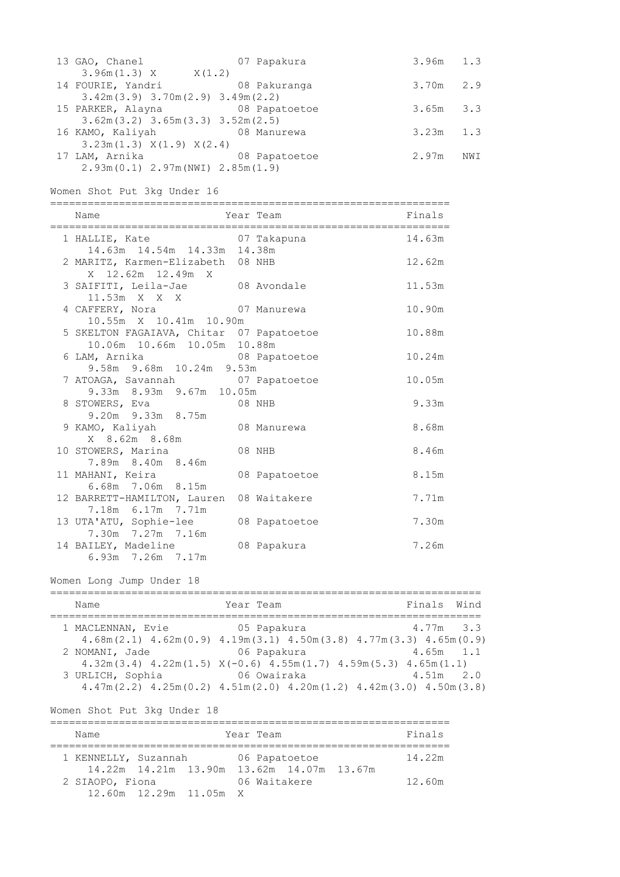| 13 GAO, Chanel                         | 07 Papakura   | $3.96m$ 1.3   |     |
|----------------------------------------|---------------|---------------|-----|
| $3.96m(1.3)$ X $X(1.2)$                |               |               |     |
| 14 FOURIE, Yandri                      | 08 Pakuranga  | $3.70m$ 2.9   |     |
| $3.42m(3.9)$ $3.70m(2.9)$ $3.49m(2.2)$ |               |               |     |
| 15 PARKER, Alayna                      | 08 Papatoetoe | $3.65m$ $3.3$ |     |
| $3.62m(3.2)$ $3.65m(3.3)$ $3.52m(2.5)$ |               |               |     |
| 16 KAMO, Kaliyah 68 Manurewa           |               | $3.23m$ 1.3   |     |
| $3.23m(1.3)$ $X(1.9)$ $X(2.4)$         |               |               |     |
| 17 LAM, Arnika                         | 08 Papatoetoe | 2.97m         | NWI |
| $2.93m(0.1)$ $2.97m(NWI)$ $2.85m(1.9)$ |               |               |     |

Women Shot Put 3kg Under 16

| Name                                                                                     | Year Team     | Finals |
|------------------------------------------------------------------------------------------|---------------|--------|
| 1 HALLIE, Kate 67 Takapuna<br>14.63m  14.54m  14.33m  14.38m                             |               | 14.63m |
| 2 MARITZ, Karmen-Elizabeth 08 NHB<br>X 12.62m 12.49m X                                   |               | 12.62m |
| 3 SAIFITI, Leila-Jae 08 Avondale<br>11.53m X X X                                         |               | 11.53m |
| 4 CAFFERY, Nora 67 Manurewa<br>10.55m X 10.41m 10.90m                                    |               | 10.90m |
| 5 SKELTON FAGAIAVA, Chitar 07 Papatoetoe<br>10.06m  10.66m  10.05m  10.88m               |               | 10.88m |
| 6 LAM, Arnika 6 28 Papatoetoe                                                            |               | 10.24m |
| 9.58m 9.68m 10.24m 9.53m<br>7 ATOAGA, Savannah 07 Papatoetoe<br>9.33m 8.93m 9.67m 10.05m |               | 10.05m |
| 8 STOWERS, Eva 08 NHB                                                                    |               | 9.33m  |
| 9.20m 9.33m 8.75m<br>9 KAMO, Kaliyah 08 Manurewa<br>X 8.62m 8.68m                        |               | 8.68m  |
| 10 STOWERS, Marina<br>7.89m 8.40m 8.46m                                                  | 08 NHB        | 8.46m  |
| 11 MAHANI, Keira<br>6.68m 7.06m 8.15m                                                    | 08 Papatoetoe | 8.15m  |
| 12 BARRETT-HAMILTON, Lauren 08 Waitakere<br>7.18m 6.17m 7.71m                            |               | 7.71m  |
| 13 UTA'ATU, Sophie-lee 08 Papatoetoe                                                     |               | 7.30m  |
| 7.30m 7.27m 7.16m<br>14 BAILEY, Madeline<br>6.93m 7.26m 7.17m                            | 08 Papakura   | 7.26m  |

Women Long Jump Under 18

| Name              | Year Team                                                                                                                                    | Finals Wind   |
|-------------------|----------------------------------------------------------------------------------------------------------------------------------------------|---------------|
| 1 MACLENNAN, Evie | 05 Papakura<br>$4.68$ m $(2.1)$ $4.62$ m $(0.9)$ $4.19$ m $(3.1)$ $4.50$ m $(3.8)$ $4.77$ m $(3.3)$ $4.65$ m $(0.9)$                         | $4.77m$ 3.3   |
| 2 NOMANI, Jade    | 06 Papakura<br>$4.32m(3.4)$ $4.22m(1.5)$ $X(-0.6)$ $4.55m(1.7)$ $4.59m(5.3)$ $4.65m(1.1)$                                                    | $4.65m$ 1.1   |
| 3 URLICH, Sophia  | 06 Owairaka<br>$4.47\text{m}$ (2.2) $4.25\text{m}$ (0.2) $4.51\text{m}$ (2.0) $4.20\text{m}$ (1.2) $4.42\text{m}$ (3.0) $4.50\text{m}$ (3.8) | $4.51m$ $2.0$ |

Women Shot Put 3kg Under 18

| Name                 |                        |  | Year Team |                                           |  | Finals |  |  |  |
|----------------------|------------------------|--|-----------|-------------------------------------------|--|--------|--|--|--|
| 1 KENNELLY, Suzannah |                        |  |           | 06 Papatoetoe                             |  | 14.22m |  |  |  |
|                      |                        |  |           | 14.22m 14.21m 13.90m 13.62m 14.07m 13.67m |  |        |  |  |  |
| 2 SIAOPO, Fiona      |                        |  |           | 06 Waitakere                              |  | 12.60m |  |  |  |
|                      | 12.60m 12.29m 11.05m X |  |           |                                           |  |        |  |  |  |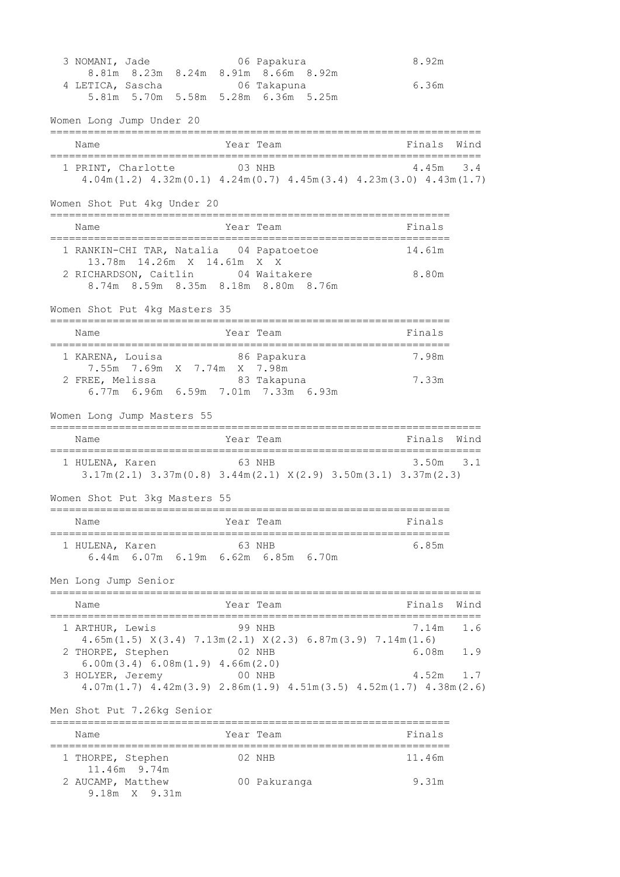3 NOMANI, Jade 06 Papakura 8.92m 8.81m 8.23m 8.24m 8.91m 8.66m 8.92m 4 LETICA, Sascha 06 Takapuna 6.36m 5.81m 5.70m 5.58m 5.28m 6.36m 5.25m Women Long Jump Under 20 ===================================================================== Name **South States And State Team** States and Team Finals Wind ===================================================================== 1 PRINT, Charlotte 03 NHB 4.45m 3.4 4.04m(1.2) 4.32m(0.1) 4.24m(0.7) 4.45m(3.4) 4.23m(3.0) 4.43m(1.7) Women Shot Put 4kg Under 20 ================================================================ Name Year Team Finals ================================================================ 1 RANKIN-CHI TAR, Natalia 04 Papatoetoe 14.61m 13.78m 14.26m X 14.61m X X 2 RICHARDSON, Caitlin 04 Waitakere 8.80m 8.74m 8.59m 8.35m 8.18m 8.80m 8.76m Women Shot Put 4kg Masters 35 ================================================================ Name Year Team Finals ================================================================ 1 KARENA, Louisa 86 Papakura 7.98m 7.55m 7.69m X 7.74m X 7.98m 2 FREE, Melissa and 83 Takapuna 1988 7.33m 6.77m 6.96m 6.59m 7.01m 7.33m 6.93m Women Long Jump Masters 55 ===================================================================== Name **The Year Team Finals** Wind ===================================================================== 1 HULENA, Karen 63 NHB 3.50m 3.1 3.17m(2.1) 3.37m(0.8) 3.44m(2.1) X(2.9) 3.50m(3.1) 3.37m(2.3) Women Shot Put 3kg Masters 55 ================================================================ Name Year Team Name Finals ================================================================ 1 HULENA, Karen 63 NHB 6.85m 6.44m 6.07m 6.19m 6.62m 6.85m 6.70m Men Long Jump Senior ===================================================================== Name Year Team Finals Wind ===================================================================== 1 ARTHUR, Lewis 99 NHB 7.14m 1.6 4.65m(1.5) X(3.4) 7.13m(2.1) X(2.3) 6.87m(3.9) 7.14m(1.6) 2 THORPE, Stephen 02 NHB 6.08m 1.9 6.00m(3.4) 6.08m(1.9) 4.66m(2.0) 3 HOLYER, Jeremy 00 NHB 4.52m 1.7 4.07m(1.7) 4.42m(3.9) 2.86m(1.9) 4.51m(3.5) 4.52m(1.7) 4.38m(2.6) Men Shot Put 7.26kg Senior ================================================================ Name Year Team Finals ================================================================ 1 THORPE, Stephen 02 NHB 11.46m 11.46m 9.74m 2 AUCAMP, Matthew 00 Pakuranga 9.31m 9.18m X 9.31m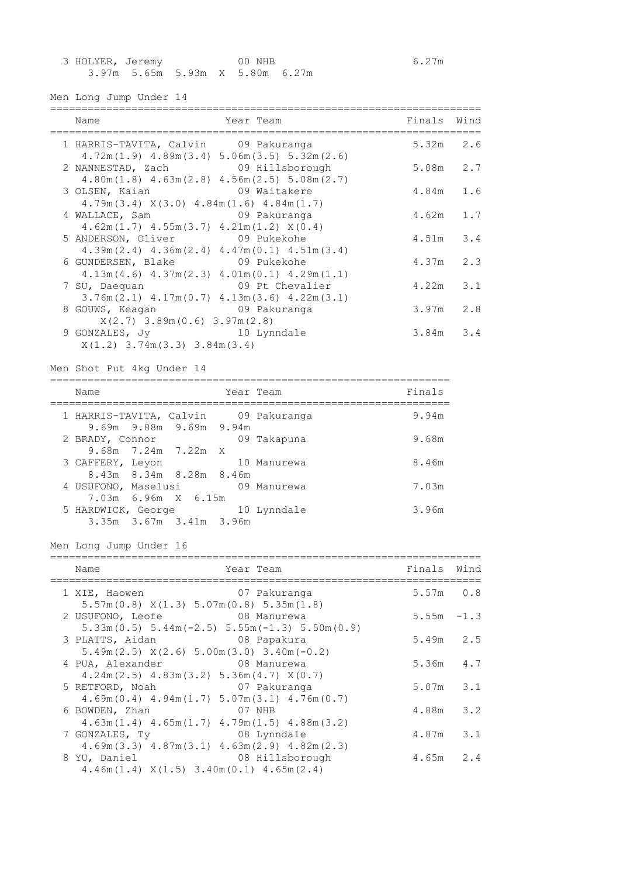| 3 HOLYER, Jeremy |                                 | 00 NHB |  |  |  | 6.27m |
|------------------|---------------------------------|--------|--|--|--|-------|
|                  | 3.97m 5.65m 5.93m X 5.80m 6.27m |        |  |  |  |       |

Men Long Jump Under 14

| Name                                                                                                       | Year Team                                                              | Finals        | Wind |
|------------------------------------------------------------------------------------------------------------|------------------------------------------------------------------------|---------------|------|
| 1 HARRIS-TAVITA, Calvin 09 Pakuranga                                                                       |                                                                        | $5.32m$ 2.6   |      |
|                                                                                                            | $4.72m(1.9)$ $4.89m(3.4)$ $5.06m(3.5)$ $5.32m(2.6)$                    |               |      |
| 2 NANNESTAD, Zach 09 Hillsborough                                                                          | $4.80m(1.8)$ $4.63m(2.8)$ $4.56m(2.5)$ $5.08m(2.7)$                    | 5.08m         | 2.7  |
| 3 OLSEN, Kaian                                                                                             | 09 Waitakere                                                           | 4.84m         | 1.6  |
| $4.79m(3.4)$ $X(3.0)$ $4.84m(1.6)$ $4.84m(1.7)$<br>4 WALLACE, Sam 09 Pakuranga                             |                                                                        | $4.62m$ 1.7   |      |
| $4.62m(1.7)$ $4.55m(3.7)$ $4.21m(1.2)$ $X(0.4)$                                                            |                                                                        |               |      |
| 5 ANDERSON, Oliver 09 Pukekohe                                                                             | $4.39m(2.4)$ $4.36m(2.4)$ $4.47m(0.1)$ $4.51m(3.4)$                    | $4.51m$ 3.4   |      |
| 6 GUNDERSEN, Blake 09 Pukekohe                                                                             |                                                                        | 4.37m         | 2.3  |
| 7 SU, Daequan                                                                                              | $4.13m(4.6)$ $4.37m(2.3)$ $4.01m(0.1)$ $4.29m(1.1)$<br>09 Pt Chevalier | 4.22m         | 3.1  |
|                                                                                                            | $3.76m(2.1)$ $4.17m(0.7)$ $4.13m(3.6)$ $4.22m(3.1)$                    |               |      |
| 8 GOUWS, Keagan                                                                                            | 09 Pakuranga                                                           | 3.97m         | 2.8  |
| $X(2.7)$ 3.89m $(0.6)$ 3.97m $(2.8)$<br>9 GONZALES, Jy 10 Lynndale<br>$X(1,2)$ 3.74m $(3.3)$ 3.84m $(3.4)$ |                                                                        | $3.84m$ $3.4$ |      |

Men Shot Put 4kg Under 14

================================================================ Name Year Team Team Finals ================================================================ 1 HARRIS-TAVITA, Calvin 09 Pakuranga 3.94m 9.69m 9.88m 9.69m 9.94m 2 BRADY, Connor 09 Takapuna 9.68m 9.68m 7.24m 7.22m X 3 CAFFERY, Leyon 10 Manurewa 8.46m 8.43m 8.34m 8.28m 8.46m 4 USUFONO, Maselusi 09 Manurewa 7.03m 7.03m 6.96m X 6.15m<br>RRDWICK, George 10 Lynndale 5 HARDWICK, George 10 Lynndale 3.96m 3.35m 3.67m 3.41m 3.96m

Men Long Jump Under 16

| Name                                                                                                 | Year Team       | Finals        | Wind |
|------------------------------------------------------------------------------------------------------|-----------------|---------------|------|
| 1 XIE, Haowen                                                                                        | 07 Pakuranga    | $5.57m$ 0.8   |      |
| $5.57m(0.8)$ $X(1.3)$ $5.07m(0.8)$ $5.35m(1.8)$<br>2 USUFONO, Leofe 68 Manurewa                      |                 | $5.55m - 1.3$ |      |
| $5.33$ m $(0.5)$ $5.44$ m $(-2.5)$ $5.55$ m $(-1.3)$ $5.50$ m $(0.9)$                                |                 |               |      |
| 3 PLATTS, Aidan 68 Papakura<br>$5.49$ m $(2.5)$ $X(2.6)$ $5.00$ m $(3.0)$ $3.40$ m $(-0.2)$          |                 | $5.49m$ 2.5   |      |
| 4 PUA, Alexander 08 Manurewa                                                                         |                 | 5.36m         | 4.7  |
| $4.24m(2.5)$ $4.83m(3.2)$ $5.36m(4.7)$ $X(0.7)$<br>5 RETFORD, Noah                                   | 07 Pakuranga    | 5.07m         | 3.1  |
| $4.69$ m $(0.4)$ $4.94$ m $(1.7)$ $5.07$ m $(3.1)$ $4.76$ m $(0.7)$<br>6 BOWDEN, Zhan                | 07 NHB          | 4.88m 3.2     |      |
| $4.63m(1.4)$ $4.65m(1.7)$ $4.79m(1.5)$ $4.88m(3.2)$                                                  |                 |               |      |
| 08 Lynndale<br>7 GONZALES, TV<br>$4.69$ m $(3.3)$ $4.87$ m $(3.1)$ $4.63$ m $(2.9)$ $4.82$ m $(2.3)$ |                 | $4.87m$ $3.1$ |      |
| 8 YU, Daniel                                                                                         | 08 Hillsborough | 4.65m         | 2.4  |
| $4.46m(1.4)$ $X(1.5)$ $3.40m(0.1)$ $4.65m(2.4)$                                                      |                 |               |      |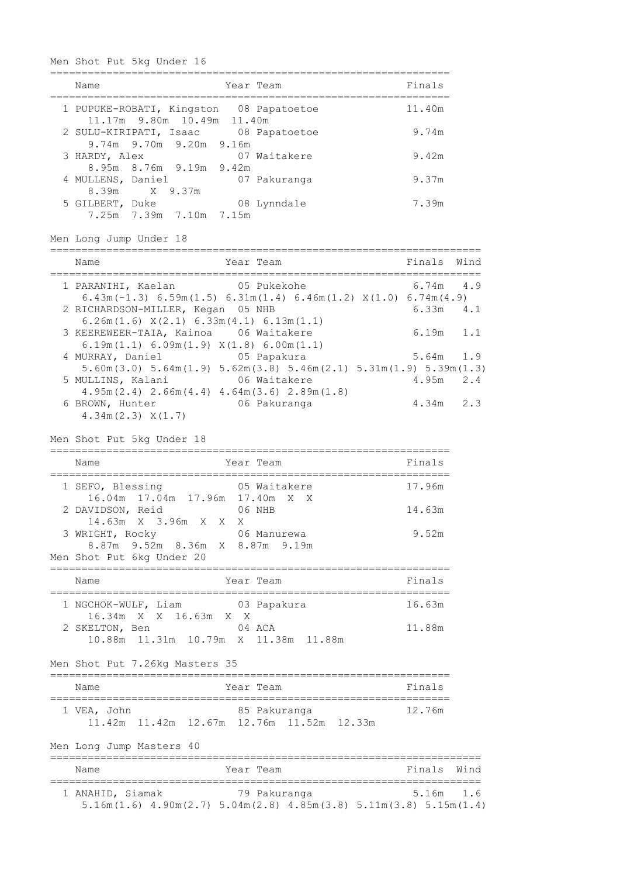Men Shot Put 5kg Under 16

| Name                               |                            | Year Team                               | Finals |
|------------------------------------|----------------------------|-----------------------------------------|--------|
|                                    | 11.17m 9.80m 10.49m 11.40m | 1 PUPUKE-ROBATI, Kingston 08 Papatoetoe | 11.40m |
| 2 SULU-KIRIPATI, Isaac             | 9.74m 9.70m 9.20m 9.16m    | 08 Papatoetoe                           | 9.74m  |
| 3 HARDY, Alex                      | 8.95m 8.76m 9.19m 9.42m    | 07 Waitakere                            | 9.42m  |
| 4 MULLENS, Daniel<br>8.39m X 9.37m |                            | 07 Pakuranga                            | 9.37m  |
| 5 GILBERT, Duke                    | 7.25m 7.39m 7.10m 7.15m    | 08 Lynndale                             | 7.39m  |

Men Long Jump Under 18

| Name                                                                                     | Year Team                                                                                                             | Finals Wind   |     |
|------------------------------------------------------------------------------------------|-----------------------------------------------------------------------------------------------------------------------|---------------|-----|
| 1 PARANIHI, Kaelan 65 Pukekohe                                                           | $6.43m(-1.3)$ $6.59m(1.5)$ $6.31m(1.4)$ $6.46m(1.2)$ $X(1.0)$ $6.74m(4.9)$                                            | $6.74m$ 4.9   |     |
| 2 RICHARDSON-MILLER, Kegan 05 NHB                                                        |                                                                                                                       | $6.33m$ $4.1$ |     |
| $6.26m(1.6)$ $X(2.1)$ $6.33m(4.1)$ $6.13m(1.1)$<br>3 KEEREWEER-TAIA, Kainoa 06 Waitakere |                                                                                                                       | 6.19m         | 1.1 |
| $6.19m(1.1) 6.09m(1.9) X(1.8) 6.00m(1.1)$<br>4 MURRAY, Daniel 65 Papakura                |                                                                                                                       | $5.64m$ 1.9   |     |
| 5 MULLINS, Kalani                                                                        | $5.60$ m $(3.0)$ $5.64$ m $(1.9)$ $5.62$ m $(3.8)$ $5.46$ m $(2.1)$ $5.31$ m $(1.9)$ $5.39$ m $(1.3)$<br>06 Waitakere | 4.95m         | 2.4 |
| 6 BROWN, Hunter                                                                          | $4.95m(2.4)$ $2.66m(4.4)$ $4.64m(3.6)$ $2.89m(1.8)$<br>06 Pakuranga                                                   | 4.34m         | 2.3 |
| $4.34m(2.3)$ $X(1.7)$                                                                    |                                                                                                                       |               |     |

|  |  | Men Shot Put 5kg Under 18 |  |
|--|--|---------------------------|--|
|  |  |                           |  |

| Name                                                        | Year Team    | Finals |
|-------------------------------------------------------------|--------------|--------|
| 1 SEFO, Blessing<br>16.04m 17.04m 17.96m 17.40m X X         | 05 Waitakere | 17.96m |
| 2 DAVIDSON, Reid<br>14.63m X 3.96m X X X                    | 06 NHB       | 14.63m |
| 3 WRIGHT, Rocky<br>8.87m 9.52m 8.36m X 8.87m 9.19m          | 06 Manurewa  | 9.52m  |
| Men Shot Put 6kg Under 20                                   |              |        |
| Name                                                        | Year Team    | Finals |
| 1 NGCHOK-WULF, Liam<br>16.34m X X 16.63m X X                | 03 Papakura  | 16.63m |
| 2 SKELTON, Ben<br>10.88m  11.31m  10.79m  X  11.38m  11.88m | 04 ACA       | 11.88m |

Men Shot Put 7.26kg Masters 35

| Name        |  | Year Team                                             | Finals |  |
|-------------|--|-------------------------------------------------------|--------|--|
| 1 VEA, John |  | 85 Pakuranga                                          | 12 76m |  |
|             |  | $11.42m$ $11.42m$ $12.67m$ $12.76m$ $11.52m$ $12.33m$ |        |  |

Men Long Jump Masters 40

| Name             |  | Year Team |                                                                                                    |  |  | Finals Wind |  |  |  |  |
|------------------|--|-----------|----------------------------------------------------------------------------------------------------|--|--|-------------|--|--|--|--|
| 1 ANAHID, Siamak |  |           | 79 Pakuranga<br>$5.16m(1.6)$ 4.90m $(2.7)$ 5.04m $(2.8)$ 4.85m $(3.8)$ 5.11m $(3.8)$ 5.15m $(1.4)$ |  |  | 5.16m 1.6   |  |  |  |  |